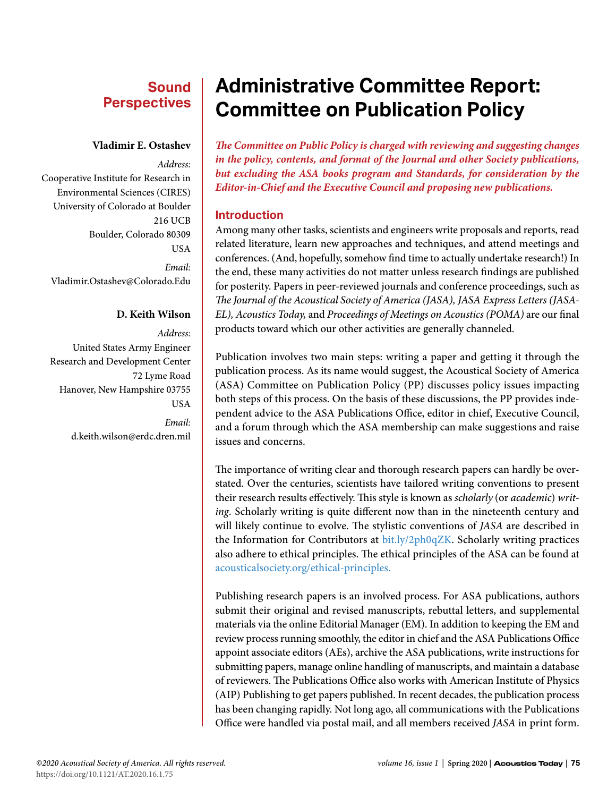## **Sound Perspectives**

#### **Vladimir E. Ostashev**

*Address:* Cooperative Institute for Research in Environmental Sciences (CIRES) University of Colorado at Boulder 216 UCB Boulder, Colorado 80309 **USA** *Email:* Vladimir.Ostashev@Colorado.Edu

#### **D. Keith Wilson**

*Address:* United States Army Engineer Research and Development Center 72 Lyme Road Hanover, New Hampshire 03755 USA *Email:* d.keith.wilson@erdc.dren.mil

## **Administrative Committee Report: Committee on Publication Policy**

*The Committee on Public Policy is charged with reviewing and suggesting changes in the policy, contents, and format of the Journal and other Society publications, but excluding the ASA books program and Standards, for consideration by the Editor-in-Chief and the Executive Council and proposing new publications.*

#### **Introduction**

Among many other tasks, scientists and engineers write proposals and reports, read related literature, learn new approaches and techniques, and attend meetings and conferences. (And, hopefully, somehow find time to actually undertake research!) In the end, these many activities do not matter unless research findings are published for posterity. Papers in peer-reviewed journals and conference proceedings, such as *The Journal of the Acoustical Society of America (JASA), JASA Express Letters (JASA-EL), Acoustics Today,* and *Proceedings of Meetings on Acoustics (POMA)* are our final products toward which our other activities are generally channeled.

Publication involves two main steps: writing a paper and getting it through the publication process. As its name would suggest, the Acoustical Society of America (ASA) Committee on Publication Policy (PP) discusses policy issues impacting both steps of this process. On the basis of these discussions, the PP provides independent advice to the ASA Publications Office, editor in chief, Executive Council, and a forum through which the ASA membership can make suggestions and raise issues and concerns.

The importance of writing clear and thorough research papers can hardly be overstated. Over the centuries, scientists have tailored writing conventions to present their research results effectively. This style is known as *scholarly* (or *academic*) *writing*. Scholarly writing is quite different now than in the nineteenth century and will likely continue to evolve. The stylistic conventions of *JASA* are described in the Information for Contributors at [bit.ly/2ph0qZK](http://bit.ly/2ph0qZK). Scholarly writing practices also adhere to ethical principles. The ethical principles of the ASA can be found at [acousticalsociety.org/ethical-principles.](http://acousticalsociety.org/ethical-principles)

Publishing research papers is an involved process. For ASA publications, authors submit their original and revised manuscripts, rebuttal letters, and supplemental materials via the online Editorial Manager (EM). In addition to keeping the EM and review process running smoothly, the editor in chief and the ASA Publications Office appoint associate editors (AEs), archive the ASA publications, write instructions for submitting papers, manage online handling of manuscripts, and maintain a database of reviewers. The Publications Office also works with American Institute of Physics (AIP) Publishing to get papers published. In recent decades, the publication process has been changing rapidly. Not long ago, all communications with the Publications Office were handled via postal mail, and all members received *JASA* in print form.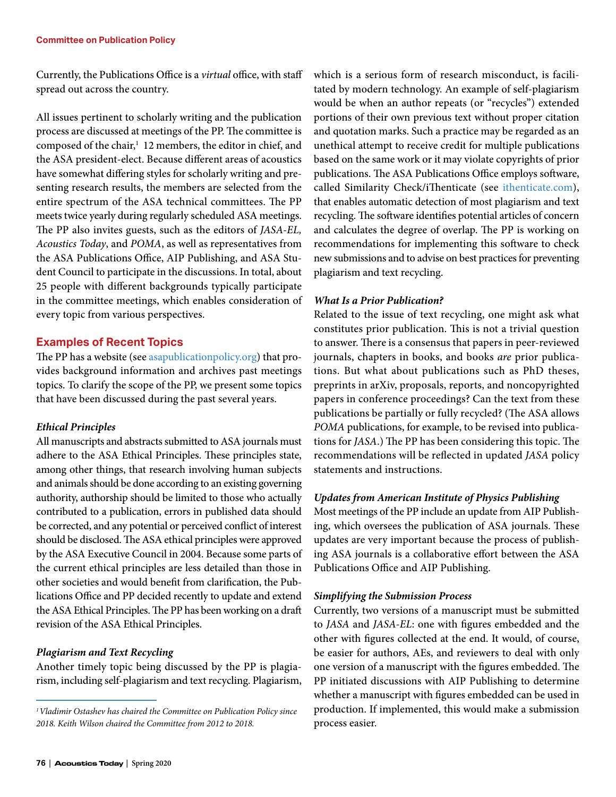Currently, the Publications Office is a *virtual* office, with staff spread out across the country.

All issues pertinent to scholarly writing and the publication process are discussed at meetings of the PP. The committee is composed of the chair,<sup>1</sup> 12 members, the editor in chief, and the ASA president-elect. Because different areas of acoustics have somewhat differing styles for scholarly writing and presenting research results, the members are selected from the entire spectrum of the ASA technical committees. The PP meets twice yearly during regularly scheduled ASA meetings. The PP also invites guests, such as the editors of *JASA-EL, Acoustics Today*, and *POMA*, as well as representatives from the ASA Publications Office, AIP Publishing, and ASA Student Council to participate in the discussions. In total, about 25 people with different backgrounds typically participate in the committee meetings, which enables consideration of every topic from various perspectives.

#### **Examples of Recent Topics**

The PP has a website (see [asapublicationpolicy.org](http://asapublicationpolicy.org)) that provides background information and archives past meetings topics. To clarify the scope of the PP, we present some topics that have been discussed during the past several years.

#### *Ethical Principles*

All manuscripts and abstracts submitted to ASA journals must adhere to the ASA Ethical Principles. These principles state, among other things, that research involving human subjects and animals should be done according to an existing governing authority, authorship should be limited to those who actually contributed to a publication, errors in published data should be corrected, and any potential or perceived conflict of interest should be disclosed. The ASA ethical principles were approved by the ASA Executive Council in 2004. Because some parts of the current ethical principles are less detailed than those in other societies and would benefit from clarification, the Publications Office and PP decided recently to update and extend the ASA Ethical Principles. The PP has been working on a draft revision of the ASA Ethical Principles.

### *Plagiarism and Text Recycling*

Another timely topic being discussed by the PP is plagiarism, including self-plagiarism and text recycling. Plagiarism, which is a serious form of research misconduct, is facilitated by modern technology. An example of self-plagiarism would be when an author repeats (or "recycles") extended portions of their own previous text without proper citation and quotation marks. Such a practice may be regarded as an unethical attempt to receive credit for multiple publications based on the same work or it may violate copyrights of prior publications. The ASA Publications Office employs software, called Similarity Check/iThenticate (see [ithenticate.com\)](http://ithenticate.com), that enables automatic detection of most plagiarism and text recycling. The software identifies potential articles of concern and calculates the degree of overlap. The PP is working on recommendations for implementing this software to check new submissions and to advise on best practices for preventing plagiarism and text recycling.

#### *What Is a Prior Publication?*

Related to the issue of text recycling, one might ask what constitutes prior publication. This is not a trivial question to answer. There is a consensus that papers in peer-reviewed journals, chapters in books, and books *are* prior publications. But what about publications such as PhD theses, preprints in arXiv, proposals, reports, and noncopyrighted papers in conference proceedings? Can the text from these publications be partially or fully recycled? (The ASA allows *POMA* publications, for example, to be revised into publications for *JASA*.) The PP has been considering this topic. The recommendations will be reflected in updated *JASA* policy statements and instructions.

#### *Updates from American Institute of Physics Publishing*

Most meetings of the PP include an update from AIP Publishing, which oversees the publication of ASA journals. These updates are very important because the process of publishing ASA journals is a collaborative effort between the ASA Publications Office and AIP Publishing.

#### *Simplifying the Submission Process*

Currently, two versions of a manuscript must be submitted to *JASA* and *JASA-EL*: one with figures embedded and the other with figures collected at the end. It would, of course, be easier for authors, AEs, and reviewers to deal with only one version of a manuscript with the figures embedded. The PP initiated discussions with AIP Publishing to determine whether a manuscript with figures embedded can be used in production. If implemented, this would make a submission process easier.

*<sup>1</sup>Vladimir Ostashev has chaired the Committee on Publication Policy since 2018. Keith Wilson chaired the Committee from 2012 to 2018.*